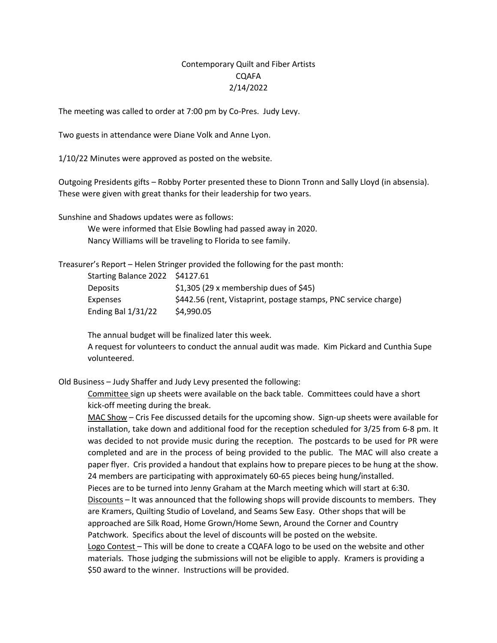## Contemporary Quilt and Fiber Artists CQAFA 2/14/2022

The meeting was called to order at 7:00 pm by Co-Pres. Judy Levy.

Two guests in attendance were Diane Volk and Anne Lyon.

1/10/22 Minutes were approved as posted on the website.

Outgoing Presidents gifts – Robby Porter presented these to Dionn Tronn and Sally Lloyd (in absensia). These were given with great thanks for their leadership for two years.

Sunshine and Shadows updates were as follows:

We were informed that Elsie Bowling had passed away in 2020. Nancy Williams will be traveling to Florida to see family.

Treasurer's Report – Helen Stringer provided the following for the past month:

Starting Balance 2022 \$4127.61

| <b>Deposits</b>      | $$1,305$ (29 x membership dues of $$45$ )                       |
|----------------------|-----------------------------------------------------------------|
| <b>Expenses</b>      | \$442.56 (rent, Vistaprint, postage stamps, PNC service charge) |
| Ending Bal $1/31/22$ | \$4,990.05                                                      |

The annual budget will be finalized later this week.

A request for volunteers to conduct the annual audit was made. Kim Pickard and Cunthia Supe volunteered.

Old Business – Judy Shaffer and Judy Levy presented the following:

Committee sign up sheets were available on the back table. Committees could have a short kick-off meeting during the break.

MAC Show – Cris Fee discussed details for the upcoming show. Sign-up sheets were available for installation, take down and additional food for the reception scheduled for 3/25 from 6-8 pm. It was decided to not provide music during the reception. The postcards to be used for PR were completed and are in the process of being provided to the public. The MAC will also create a paper flyer. Cris provided a handout that explains how to prepare pieces to be hung at the show. 24 members are participating with approximately 60-65 pieces being hung/installed. Pieces are to be turned into Jenny Graham at the March meeting which will start at 6:30. Discounts – It was announced that the following shops will provide discounts to members. They are Kramers, Quilting Studio of Loveland, and Seams Sew Easy. Other shops that will be approached are Silk Road, Home Grown/Home Sewn, Around the Corner and Country Patchwork. Specifics about the level of discounts will be posted on the website. Logo Contest - This will be done to create a CQAFA logo to be used on the website and other materials. Those judging the submissions will not be eligible to apply. Kramers is providing a

\$50 award to the winner. Instructions will be provided.